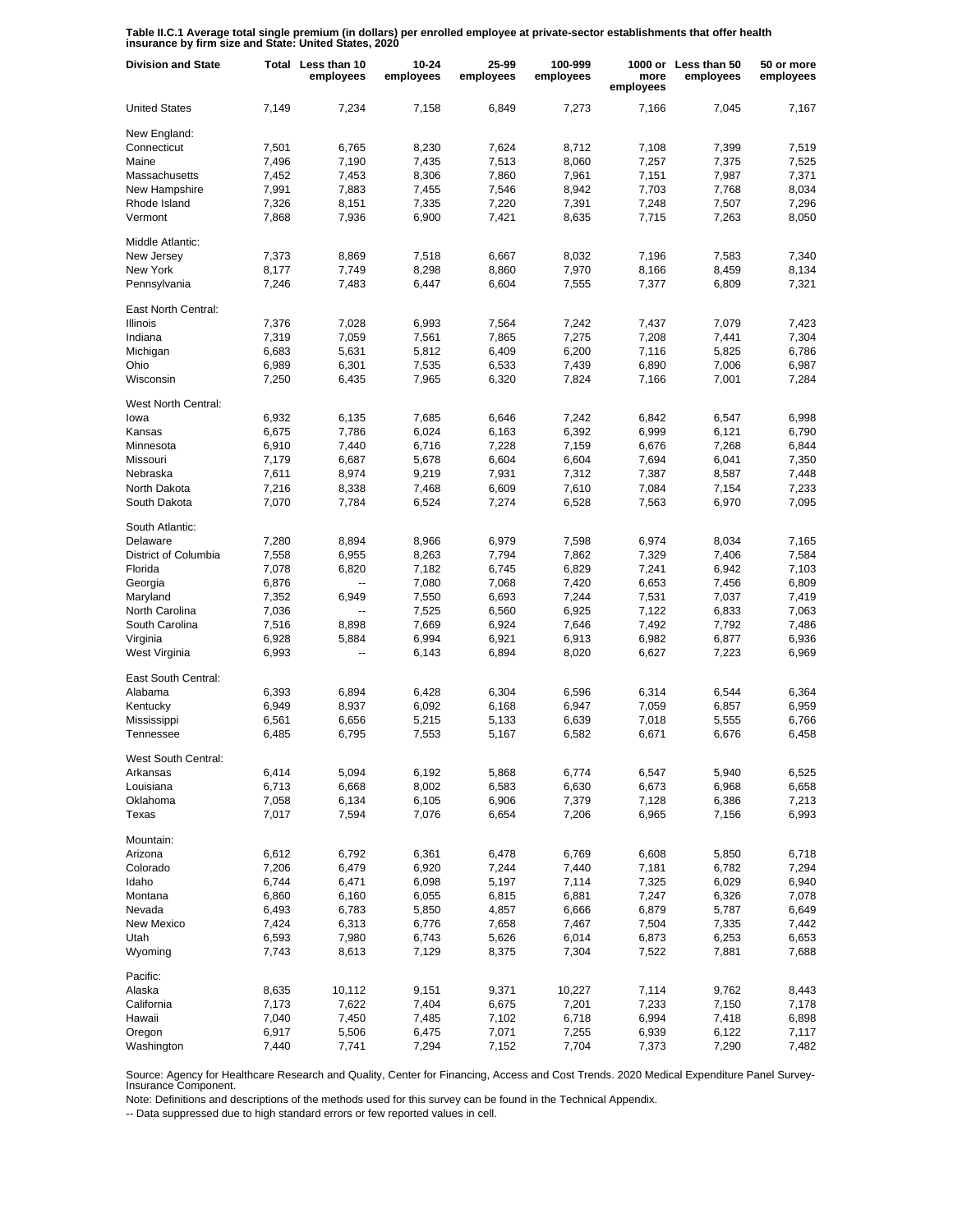**Table II.C.1 Average total single premium (in dollars) per enrolled employee at private-sector establishments that offer health insurance by firm size and State: United States, 2020**

| <b>Division and State</b> |       | Total Less than 10<br>employees | 10-24<br>employees | 25-99<br>employees | 100-999<br>employees | more<br>employees | 1000 or Less than 50<br>employees | 50 or more<br>employees |
|---------------------------|-------|---------------------------------|--------------------|--------------------|----------------------|-------------------|-----------------------------------|-------------------------|
| <b>United States</b>      | 7,149 | 7,234                           | 7,158              | 6,849              | 7,273                | 7,166             | 7,045                             | 7,167                   |
| New England:              |       |                                 |                    |                    |                      |                   |                                   |                         |
| Connecticut               | 7,501 | 6,765                           | 8,230              | 7,624              | 8,712                | 7,108             | 7,399                             | 7,519                   |
| Maine                     | 7,496 | 7,190                           | 7,435              | 7,513              | 8,060                | 7,257             | 7,375                             | 7,525                   |
| Massachusetts             | 7,452 | 7,453                           | 8,306              | 7,860              | 7,961                | 7,151             | 7,987                             | 7,371                   |
| New Hampshire             | 7,991 | 7,883                           | 7,455              | 7,546              | 8,942                | 7,703             | 7,768                             | 8,034                   |
| Rhode Island              | 7,326 | 8,151                           | 7,335              | 7,220              | 7,391                | 7,248             | 7,507                             | 7,296                   |
| Vermont                   | 7,868 | 7,936                           | 6,900              | 7,421              | 8,635                | 7,715             | 7,263                             | 8,050                   |
| Middle Atlantic:          |       |                                 |                    |                    |                      |                   |                                   |                         |
| New Jersey                | 7,373 | 8,869                           | 7,518              | 6,667              | 8,032                | 7,196             | 7,583                             | 7,340                   |
| New York                  | 8,177 | 7,749                           | 8,298              | 8,860              | 7,970                | 8,166             | 8,459                             | 8,134                   |
| Pennsylvania              | 7,246 | 7,483                           | 6,447              | 6,604              | 7,555                | 7,377             | 6,809                             | 7,321                   |
| East North Central:       |       |                                 |                    |                    |                      |                   |                                   |                         |
| Illinois                  | 7,376 | 7,028                           | 6,993              | 7,564              | 7,242                | 7,437             | 7,079                             | 7,423                   |
| Indiana                   | 7,319 | 7,059                           | 7,561              | 7,865              | 7,275                | 7,208             | 7,441                             | 7,304                   |
| Michigan                  | 6,683 | 5,631                           | 5,812              | 6,409              | 6,200                | 7,116             | 5,825                             | 6,786                   |
| Ohio                      | 6,989 | 6,301                           | 7,535              | 6,533              | 7,439                | 6,890             | 7,006                             | 6,987                   |
| Wisconsin                 | 7,250 | 6,435                           | 7,965              | 6,320              | 7,824                | 7,166             | 7,001                             | 7,284                   |
|                           |       |                                 |                    |                    |                      |                   |                                   |                         |
| West North Central:       |       |                                 |                    |                    |                      |                   |                                   |                         |
| lowa                      | 6,932 | 6,135                           | 7,685              | 6,646              | 7,242                | 6,842             | 6,547                             | 6,998                   |
| Kansas                    | 6,675 | 7,786                           | 6,024              | 6,163              | 6,392                | 6,999             | 6,121                             | 6,790                   |
| Minnesota                 | 6,910 | 7,440                           | 6,716              | 7,228              | 7,159                | 6,676             | 7,268                             | 6,844                   |
| Missouri                  | 7,179 | 6,687                           | 5,678              | 6,604              | 6,604                | 7,694             | 6,041                             | 7,350                   |
| Nebraska                  | 7,611 | 8,974                           | 9,219              | 7,931              | 7,312                | 7,387             | 8,587                             | 7,448                   |
| North Dakota              | 7,216 | 8,338                           | 7,468              | 6,609              | 7,610                | 7,084             | 7,154                             | 7,233                   |
| South Dakota              | 7,070 | 7,784                           | 6,524              | 7,274              | 6,528                | 7,563             | 6,970                             | 7,095                   |
| South Atlantic:           |       |                                 |                    |                    |                      |                   |                                   |                         |
| Delaware                  | 7,280 | 8,894                           | 8,966              | 6,979              | 7,598                | 6,974             | 8,034                             | 7,165                   |
| District of Columbia      | 7,558 | 6,955                           | 8,263              | 7,794              | 7,862                | 7,329             | 7,406                             | 7,584                   |
| Florida                   | 7,078 | 6,820                           | 7,182              | 6,745              | 6,829                | 7,241             | 6,942                             | 7,103                   |
| Georgia                   | 6,876 |                                 | 7,080              | 7,068              | 7,420                | 6,653             | 7,456                             | 6,809                   |
| Maryland                  | 7,352 | 6,949                           | 7,550              | 6,693              | 7,244                | 7,531             | 7,037                             | 7,419                   |
|                           |       |                                 |                    |                    |                      |                   |                                   |                         |
| North Carolina            | 7,036 | --                              | 7,525              | 6,560              | 6,925                | 7,122             | 6,833                             | 7,063                   |
| South Carolina            | 7,516 | 8,898                           | 7,669              | 6,924              | 7,646                | 7,492             | 7,792                             | 7,486                   |
| Virginia                  | 6,928 | 5,884                           | 6,994              | 6,921              | 6,913                | 6,982             | 6,877                             | 6,936                   |
| West Virginia             | 6,993 | --                              | 6,143              | 6,894              | 8,020                | 6,627             | 7,223                             | 6,969                   |
| East South Central:       |       |                                 |                    |                    |                      |                   |                                   |                         |
| Alabama                   | 6,393 | 6,894                           | 6.428              | 6,304              | 6,596                | 6,314             | 6,544                             | 6,364                   |
| Kentucky                  | 6,949 | 8,937                           | 6,092              | 6,168              | 6,947                | 7,059             | 6,857                             | 6,959                   |
| Mississippi               | 6,561 | 6,656                           | 5,215              | 5,133              | 6,639                | 7,018             | 5,555                             | 6,766                   |
| Tennessee                 | 6,485 | 6,795                           | 7,553              | 5,167              | 6,582                | 6,671             | 6,676                             | 6,458                   |
| West South Central:       |       |                                 |                    |                    |                      |                   |                                   |                         |
| Arkansas                  | 6,414 | 5,094                           | 6,192              | 5,868              | 6,774                | 6,547             | 5,940                             | 6,525                   |
| Louisiana                 | 6,713 | 6,668                           | 8,002              | 6,583              | 6,630                | 6,673             | 6,968                             | 6,658                   |
| Oklahoma                  | 7,058 | 6,134                           | 6,105              | 6,906              | 7,379                | 7,128             | 6,386                             | 7,213                   |
| Texas                     | 7,017 | 7,594                           | 7,076              | 6,654              | 7,206                | 6,965             | 7,156                             | 6,993                   |
| Mountain:                 |       |                                 |                    |                    |                      |                   |                                   |                         |
| Arizona                   | 6,612 | 6,792                           | 6,361              | 6,478              | 6,769                | 6,608             | 5,850                             | 6,718                   |
| Colorado                  | 7,206 | 6,479                           | 6,920              | 7,244              | 7,440                | 7,181             | 6,782                             | 7,294                   |
| Idaho                     | 6,744 | 6,471                           | 6,098              | 5,197              | 7,114                | 7,325             | 6,029                             | 6,940                   |
|                           |       |                                 |                    |                    |                      |                   |                                   |                         |
| Montana<br>Nevada         | 6,860 | 6,160                           | 6,055              | 6,815              | 6,881                | 7,247             | 6,326                             | 7,078                   |
|                           | 6,493 | 6,783                           | 5,850              | 4,857              | 6,666                | 6,879             | 5,787                             | 6,649                   |
| <b>New Mexico</b>         | 7,424 | 6,313                           | 6,776              | 7,658              | 7,467                | 7,504             | 7,335                             | 7,442                   |
| Utah                      | 6,593 | 7,980                           | 6,743              | 5,626              | 6,014                | 6,873             | 6,253                             | 6,653                   |
| Wyoming                   | 7,743 | 8,613                           | 7,129              | 8,375              | 7,304                | 7,522             | 7,881                             | 7,688                   |
| Pacific:                  |       |                                 |                    |                    |                      |                   |                                   |                         |
| Alaska                    | 8,635 | 10,112                          | 9,151              | 9,371              | 10,227               | 7,114             | 9,762                             | 8,443                   |
| California                | 7,173 | 7,622                           | 7,404              | 6,675              | 7,201                | 7,233             | 7,150                             | 7,178                   |
| Hawaii                    | 7,040 | 7,450                           | 7,485              | 7,102              | 6,718                | 6,994             | 7,418                             | 6,898                   |
| Oregon                    | 6,917 | 5,506                           | 6,475              | 7,071              | 7,255                | 6,939             | 6,122                             | 7,117                   |
| Washington                | 7,440 | 7,741                           | 7,294              | 7,152              | 7,704                | 7,373             | 7,290                             | 7,482                   |

Source: Agency for Healthcare Research and Quality, Center for Financing, Access and Cost Trends. 2020 Medical Expenditure Panel Survey-Insurance Component.

Note: Definitions and descriptions of the methods used for this survey can be found in the Technical Appendix.

-- Data suppressed due to high standard errors or few reported values in cell.